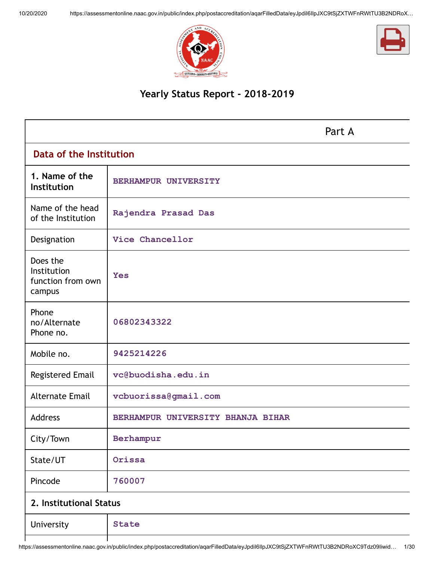



# **Yearly Status Report - 2018-2019**

|                                                        |                                   | Part A |
|--------------------------------------------------------|-----------------------------------|--------|
| Data of the Institution                                |                                   |        |
| 1. Name of the<br>Institution                          | BERHAMPUR UNIVERSITY              |        |
| Name of the head<br>of the Institution                 | Rajendra Prasad Das               |        |
| Designation                                            | Vice Chancellor                   |        |
| Does the<br>Institution<br>function from own<br>campus | <b>Yes</b>                        |        |
| Phone<br>no/Alternate<br>Phone no.                     | 06802343322                       |        |
| Mobile no.                                             | 9425214226                        |        |
| Registered Email                                       | vc@buodisha.edu.in                |        |
| <b>Alternate Email</b>                                 | vcbuorissa@gmail.com              |        |
| Address                                                | BERHAMPUR UNIVERSITY BHANJA BIHAR |        |
| City/Town                                              | Berhampur                         |        |
| State/UT                                               | Orissa                            |        |
| Pincode                                                | 760007                            |        |
| 2. Institutional Status                                |                                   |        |
| University                                             | <b>State</b>                      |        |
|                                                        |                                   |        |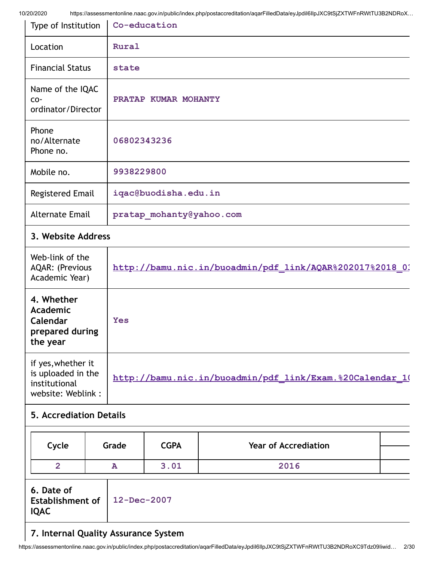| <i><b>JI ZUI ZUZU</b></i><br>Type of Institution                                |                                                          | Thips://assessmentonime.naac.gov.im/public/index.php/postaccreditation/agarFiledData/eyopunonpoAC9tOjZATWF1nNWtTOJDZNDNOA…<br>Co-education |  |  |  |
|---------------------------------------------------------------------------------|----------------------------------------------------------|--------------------------------------------------------------------------------------------------------------------------------------------|--|--|--|
| Location                                                                        |                                                          | Rural                                                                                                                                      |  |  |  |
| <b>Financial Status</b>                                                         |                                                          | state                                                                                                                                      |  |  |  |
| Name of the IQAC<br>$CO -$<br>ordinator/Director                                |                                                          | PRATAP KUMAR MOHANTY                                                                                                                       |  |  |  |
| Phone<br>no/Alternate<br>Phone no.                                              |                                                          | 06802343236                                                                                                                                |  |  |  |
| Mobile no.                                                                      |                                                          | 9938229800                                                                                                                                 |  |  |  |
| Registered Email                                                                |                                                          | iqac@buodisha.edu.in                                                                                                                       |  |  |  |
| <b>Alternate Email</b>                                                          |                                                          | pratap mohanty@yahoo.com                                                                                                                   |  |  |  |
| 3. Website Address                                                              |                                                          |                                                                                                                                            |  |  |  |
| Web-link of the<br><b>AQAR: (Previous</b><br>Academic Year)                     |                                                          | http://bamu.nic.in/buoadmin/pdf link/AQAR%202017%2018 03                                                                                   |  |  |  |
| 4. Whether<br><b>Academic</b><br>Calendar<br>prepared during<br>the year        | <b>Yes</b>                                               |                                                                                                                                            |  |  |  |
| if yes, whether it<br>is uploaded in the<br>institutional<br>website: Weblink : | http://bamu.nic.in/buoadmin/pdf link/Exam.%20Calendar 10 |                                                                                                                                            |  |  |  |
| <b>5. Accrediation Details</b>                                                  |                                                          |                                                                                                                                            |  |  |  |
| Cycle                                                                           | Grade                                                    | <b>CGPA</b><br><b>Year of Accrediation</b>                                                                                                 |  |  |  |
| $\overline{2}$                                                                  | ${\bf A}$                                                | 3.01<br>2016                                                                                                                               |  |  |  |
| 6. Date of<br>12-Dec-2007<br><b>Establishment of</b><br><b>IQAC</b>             |                                                          |                                                                                                                                            |  |  |  |

# **7. Internal Quality Assurance System**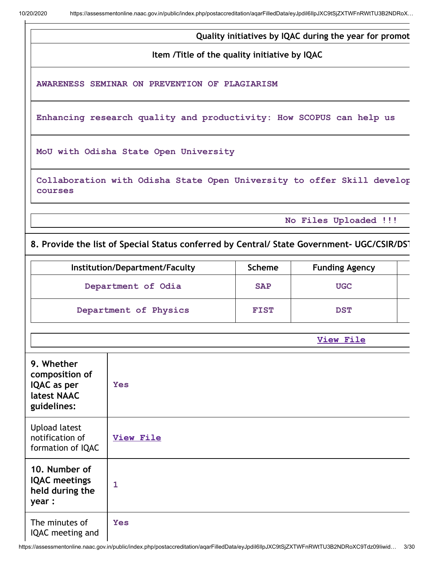**Quality initiatives by IQAC during the year for promot**

**Item /Title of the quality initiative by IQAC**

**AWARENESS SEMINAR ON PREVENTION OF PLAGIARISM**

**Enhancing research quality and productivity: How SCOPUS can help us**

**MoU with Odisha State Open University**

**Collaboration with Odisha State Open University to offer Skill develop courses**

**No Files Uploaded !!!**

## **8. Provide the list of Special Status conferred by Central/ State Government- UGC/CSIR/DST**

| Institution/Department/Faculty | <b>Scheme</b> | <b>Funding Agency</b> |  |
|--------------------------------|---------------|-----------------------|--|
| Department of Odia             | <b>SAP</b>    | <b>UGC</b>            |  |
| Department of Physics          | <b>FIST</b>   | <b>DST</b>            |  |

|                                                                           | <b>View File</b> |
|---------------------------------------------------------------------------|------------------|
| 9. Whether<br>composition of<br>IQAC as per<br>latest NAAC<br>guidelines: | <b>Yes</b>       |
| <b>Upload latest</b><br>notification of<br>formation of IQAC              | <b>View File</b> |
| 10. Number of<br><b>IQAC</b> meetings<br>held during the<br>year :        | $\mathbf{1}$     |
| The minutes of<br>IQAC meeting and                                        | <b>Yes</b>       |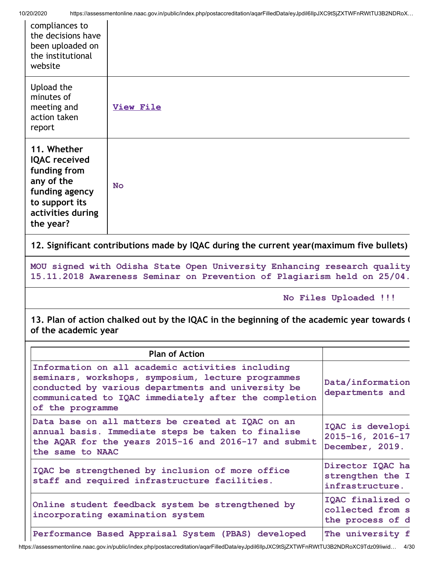| compliances to<br>the decisions have<br>been uploaded on<br>the institutional<br>website                                                |                  |
|-----------------------------------------------------------------------------------------------------------------------------------------|------------------|
| Upload the<br>minutes of<br>meeting and<br>action taken<br>report                                                                       | <b>View File</b> |
| 11. Whether<br><b>IQAC</b> received<br>funding from<br>any of the<br>funding agency<br>to support its<br>activities during<br>the year? | <b>No</b>        |

**12. Significant contributions made by IQAC during the current year(maximum five bullets)**

**MOU signed with Odisha State Open University Enhancing research quality 15.11.2018 Awareness Seminar on Prevention of Plagiarism held on 25/04.**

**No Files Uploaded !!!**

**13. Plan of action chalked out by the IQAC in the beginning of the academic year towards Q of the academic year**

| <b>Plan of Action</b>                                                                                                                                                                                                                     |                                                          |
|-------------------------------------------------------------------------------------------------------------------------------------------------------------------------------------------------------------------------------------------|----------------------------------------------------------|
| Information on all academic activities including<br>seminars, workshops, symposium, lecture programmes<br>conducted by various departments and university be<br>communicated to IQAC immediately after the completion<br>of the programme | Data/information<br>departments and                      |
| Data base on all matters be created at IQAC on an<br>annual basis. Immediate steps be taken to finalise<br>the AQAR for the years 2015-16 and 2016-17 and submit<br>the same to NAAC                                                      | IQAC is developi<br>2015-16, 2016-17<br>December, 2019.  |
| IQAC be strengthened by inclusion of more office<br>staff and required infrastructure facilities.                                                                                                                                         | Director IQAC ha<br>strengthen the I<br>infrastructure.  |
| Online student feedback system be strengthened by<br>incorporating examination system                                                                                                                                                     | IQAC finalized o<br>collected from s<br>the process of d |
| Performance Based Appraisal System (PBAS) developed                                                                                                                                                                                       | The university f                                         |

https://assessmentonline.naac.gov.in/public/index.php/postaccreditation/aqarFilledData/eyJpdiI6IlpJXC9tSjZXTWFnRWtTU3B2NDRoXC9Tdz09Iiwid… 4/30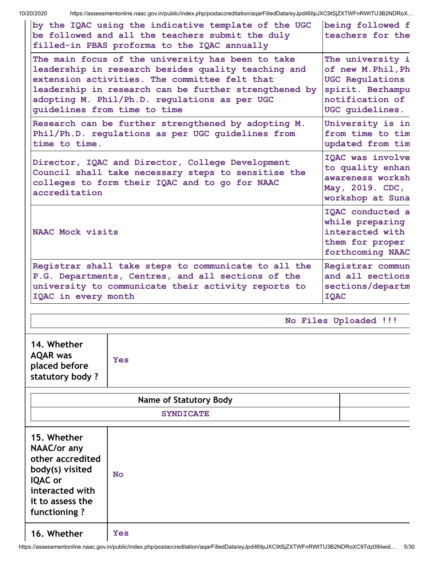| 10/20/2020                                                                                                                                        | https://assessmentonline.naac.gov.in/public/index.php/postaccreditation/aqarFilledData/eyJpdil6llpJXC9tSjZXTWFnRWtTU3B2NDRoX<br>by the IQAC using the indicative template of the UGC<br>be followed and all the teachers submit the duly<br>filled-in PBAS proforma to the IQAC annually            | being followed f<br>teachers for the                                                                                       |
|---------------------------------------------------------------------------------------------------------------------------------------------------|-----------------------------------------------------------------------------------------------------------------------------------------------------------------------------------------------------------------------------------------------------------------------------------------------------|----------------------------------------------------------------------------------------------------------------------------|
|                                                                                                                                                   | The main focus of the university has been to take<br>leadership in research besides quality teaching and<br>extension activities. The committee felt that<br>leadership in research can be further strengthened by<br>adopting M. Phil/Ph.D. regulations as per UGC<br>guidelines from time to time | The university i<br>of new M. Phil, Ph<br><b>UGC Regulations</b><br>spirit. Berhampu<br>notification of<br>UGC quidelines. |
| time to time.                                                                                                                                     | Research can be further strengthened by adopting M.<br>Phil/Ph.D. regulations as per UGC guidelines from                                                                                                                                                                                            | University is in<br>from time to tim<br>updated from tim                                                                   |
| accreditation                                                                                                                                     | Director, IQAC and Director, College Development<br>Council shall take necessary steps to sensitise the<br>colleges to form their IQAC and to go for NAAC                                                                                                                                           | IQAC was involve<br>to quality enhan<br>awareness worksh<br>May, 2019. CDC,<br>workshop at Suna                            |
| NAAC Mock visits                                                                                                                                  |                                                                                                                                                                                                                                                                                                     | IQAC conducted a<br>while preparing<br>interacted with<br>them for proper<br>forthcoming NAAC                              |
| IQAC in every month                                                                                                                               | Registrar shall take steps to communicate to all the<br>P.G. Departments, Centres, and all sections of the<br>university to communicate their activity reports to                                                                                                                                   | Registrar commun<br>and all sections<br>sections/departm<br><b>IQAC</b>                                                    |
|                                                                                                                                                   |                                                                                                                                                                                                                                                                                                     | No Files Uploaded !!!                                                                                                      |
| 14. Whether<br><b>AQAR</b> was<br>placed before<br>statutory body?                                                                                | <b>Yes</b>                                                                                                                                                                                                                                                                                          |                                                                                                                            |
|                                                                                                                                                   | Name of Statutory Body                                                                                                                                                                                                                                                                              |                                                                                                                            |
|                                                                                                                                                   | <b>SYNDICATE</b>                                                                                                                                                                                                                                                                                    |                                                                                                                            |
| 15. Whether<br><b>NAAC/or any</b><br>other accredited<br>body(s) visited<br><b>IQAC</b> or<br>interacted with<br>it to assess the<br>functioning? | No                                                                                                                                                                                                                                                                                                  |                                                                                                                            |

**16. Whether Yes**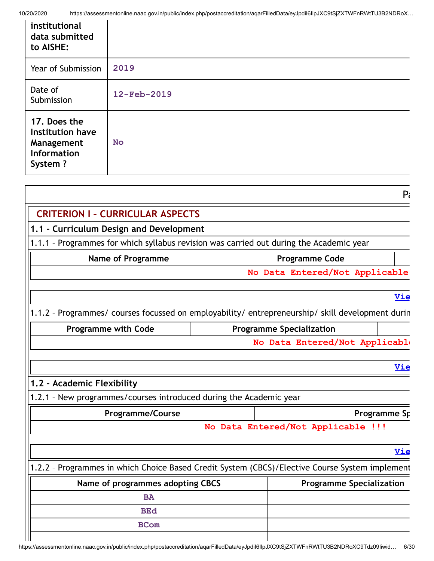| institutional<br>data submitted<br>to AISHE:                                           |                                                                                         |       |
|----------------------------------------------------------------------------------------|-----------------------------------------------------------------------------------------|-------|
| Year of Submission                                                                     | 2019                                                                                    |       |
| Date of<br>Submission                                                                  | 12-Feb-2019                                                                             |       |
| 17. Does the<br><b>Institution have</b><br>Management<br><b>Information</b><br>System? | <b>No</b>                                                                               |       |
|                                                                                        |                                                                                         | $P_i$ |
|                                                                                        | <b>CRITERION I - CURRICULAR ASPECTS</b>                                                 |       |
|                                                                                        | 1.1 - Curriculum Design and Development                                                 |       |
|                                                                                        | 1.1.1 - Programmes for which syllabus revision was carried out during the Academic year |       |

## **Name of Programme**  Programme Code

**No Data Entered/Not Applicable**

#### **[Vie](https://assessmentonline.naac.gov.in/public/Postacc/Syllabus_revision/524_Syllabus_revision_1602847809.xlsx)**

1.1.2 – Programmes/ courses focussed on employability/ entrepreneurship/ skill development durin

| <b>Programme with Code</b> | <b>Programme Specialization</b> |
|----------------------------|---------------------------------|
|                            | No Data Entered/Not Applicable  |

# **[Vie](https://assessmentonline.naac.gov.in/public/Postacc/programmes_on_employability/524_programmes_on_employability_1601546650.xlsx)**

# **1.2 – Academic Flexibility**

 $\mathbf{u}$ 

1.2.1 – New programmes/courses introduced during the Academic year

| <b>Programme/Course</b> |  | Programme Sp                       |
|-------------------------|--|------------------------------------|
|                         |  | No Data Entered/Not Applicable !!! |

#### **[Vie](https://assessmentonline.naac.gov.in/public/Postacc/Program_introduced/524_Program_introduced_1601546677.xlsx)**

1.2.2 – Programmes in which Choice Based Credit System (CBCS)/Elective Course System implement

| Name of programmes adopting CBCS | <b>Programme Specialization</b> |
|----------------------------------|---------------------------------|
| BA                               |                                 |
| <b>BEd</b>                       |                                 |
| <b>BCom</b>                      |                                 |
|                                  |                                 |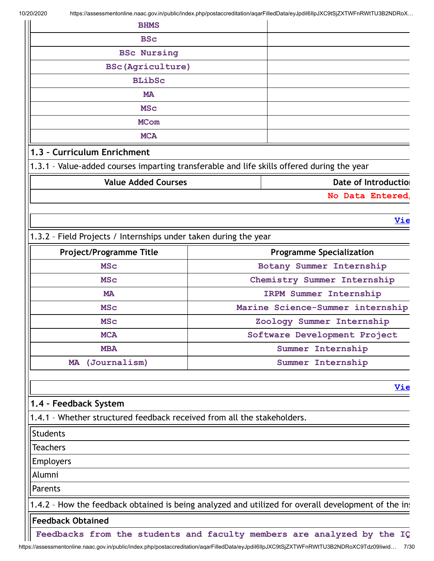| <b>BHMS</b>                                                                                |                                 |                      |
|--------------------------------------------------------------------------------------------|---------------------------------|----------------------|
| <b>BSc</b>                                                                                 |                                 |                      |
| <b>BSc Nursing</b>                                                                         |                                 |                      |
| <b>BSc (Agriculture)</b>                                                                   |                                 |                      |
| <b>BLibSc</b>                                                                              |                                 |                      |
| <b>MA</b>                                                                                  |                                 |                      |
| <b>MSC</b>                                                                                 |                                 |                      |
| <b>MCom</b>                                                                                |                                 |                      |
| <b>MCA</b>                                                                                 |                                 |                      |
| 1.3 - Curriculum Enrichment                                                                |                                 |                      |
| 1.3.1 - Value-added courses imparting transferable and life skills offered during the year |                                 |                      |
| <b>Value Added Courses</b>                                                                 |                                 | Date of Introduction |
| No Data Entered,                                                                           |                                 |                      |
|                                                                                            |                                 |                      |
|                                                                                            |                                 | <u>Vie</u>           |
| 1.3.2 - Field Projects / Internships under taken during the year                           |                                 |                      |
| <b>Project/Programme Title</b>                                                             | <b>Programme Specialization</b> |                      |

| Project/Programme Title<br><b>Programme Specialization</b> |                                  |  |
|------------------------------------------------------------|----------------------------------|--|
| <b>MSC</b>                                                 | Botany Summer Internship         |  |
| <b>MSC</b>                                                 | Chemistry Summer Internship      |  |
| <b>MA</b>                                                  | <b>IRPM Summer Internship</b>    |  |
| <b>MSC</b>                                                 | Marine Science-Summer internship |  |
| <b>MSC</b>                                                 | Zoology Summer Internship        |  |
| <b>MCA</b>                                                 | Software Development Project     |  |
| <b>MBA</b>                                                 | Summer Internship                |  |
| (Journalism)<br><b>MA</b>                                  | Summer Internship                |  |

**[Vie](https://assessmentonline.naac.gov.in/public/Postacc/Projects_undertaken/524_Projects_undertaken_1601546722.xlsx)**

# **1.4 – Feedback System**

1.4.1 – Whether structured feedback received from all the stakeholders.

**Students** 

**Teachers** 

Employers

Alumni

Parents

1.4.2 - How the feedback obtained is being analyzed and utilized for overall development of the ins

### **Feedback Obtained**

**Feedbacks from the students and faculty members are analyzed by the IQ**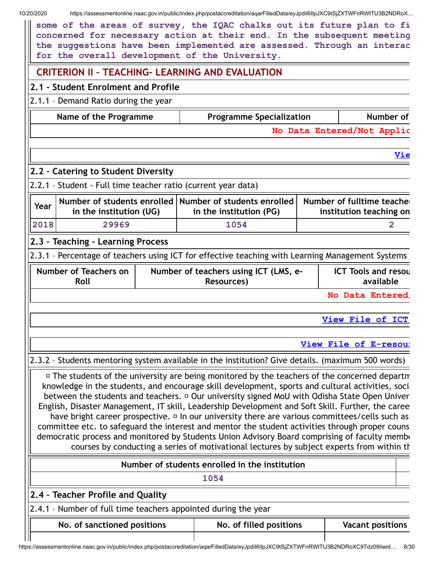10/20/2020 https://assessmentonline.naac.gov.in/public/index.php/postaccreditation/aqarFilledData/eyJpdiI6IlpJXC9tSjZXTWFnRWtTU3B2NDRoX… **some of the areas of survey, the IQAC chalks out its future plan to fi concerned for necessary action at their end. In the subsequent meeting the suggestions have been implemented are assessed. Through an interac for the overall development of the University. CRITERION II – TEACHING- LEARNING AND EVALUATION 2.1 – Student Enrolment and Profile** 2.1.1 – Demand Ratio during the year **Name of the Programme Programme Specialization Number of No Data Entered/Not Applic [Vie](https://assessmentonline.naac.gov.in/public/Postacc/Demand_ratio/524_Demand_ratio_1601546809.xlsx) 2.2 – Catering to Student Diversity** 2.2.1 – Student - Full time teacher ratio (current year data) **Year Number of students enrolled Number of students enrolled in the institution (UG) in the institution (PG) Number of fulltime teacher institution teaching on 2018 29969 1054 2 2.3 – Teaching - Learning Process** 2.3.1 – Percentage of teachers using ICT for effective teaching with Learning Management Systems **Number of Teachers on Roll Number of teachers using ICT (LMS, e-Resources) ICT Tools and resou available No Data Entered/ [View](https://assessmentonline.naac.gov.in/public/Postacc/ict_tools/524_ict_tools_1602750901.xlsx) File of ICT View File of [E-resour](https://assessmentonline.naac.gov.in/public/Postacc/e_resource/524_e_resource_1602750916.xlsx)** 2.3.2 – Students mentoring system available in the institution? Give details. (maximum 500 words)  $\overline{P}$  The students of the university are being monitored by the teachers of the concerned departm knowledge in the students, and encourage skill development, sports and cultural activities, social between the students and teachers.  $\Box$  Our university signed MoU with Odisha State Open Univer English, Disaster Management, IT skill, Leadership Development and Soft Skill. Further, the caree have bright career prospective.  $\Box$  In our university there are various committees/cells such as committee etc. to safeguard the interest and mentor the student activities through proper couns democratic process and monitored by Students Union Advisory Board comprising of faculty membe courses by conducting a series of motivational lectures by subject experts from within th **Number of students enrolled in the institution 1054 2.4 – Teacher Profile and Quality** 2.4.1 – Number of full time teachers appointed during the year **No. of sanctioned positions No. of filled positions Vacant positions**

https://assessmentonline.naac.gov.in/public/index.php/postaccreditation/aqarFilledData/eyJpdiI6IlpJXC9tSjZXTWFnRWtTU3B2NDRoXC9Tdz09Iiwid… 8/30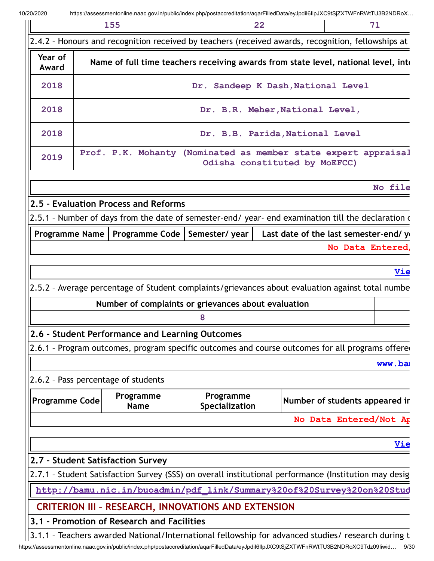|                       | 155                                        |                                                            | 22                              | 71                                                                                                    |
|-----------------------|--------------------------------------------|------------------------------------------------------------|---------------------------------|-------------------------------------------------------------------------------------------------------|
|                       |                                            |                                                            |                                 | 2.4.2 - Honours and recognition received by teachers (received awards, recognition, fellowships at    |
| Year of<br>Award      |                                            |                                                            |                                 | Name of full time teachers receiving awards from state level, national level, inte                    |
| 2018                  |                                            | Dr. Sandeep K Dash, National Level                         |                                 |                                                                                                       |
| 2018                  |                                            |                                                            | Dr. B.R. Meher, National Level, |                                                                                                       |
| 2018                  |                                            |                                                            | Dr. B.B. Parida, National Level |                                                                                                       |
| 2019                  |                                            |                                                            | Odisha constituted by MoEFCC)   | Prof. P.K. Mohanty (Nominated as member state expert appraisal                                        |
|                       |                                            |                                                            |                                 | No file                                                                                               |
|                       | 2.5 - Evaluation Process and Reforms       |                                                            |                                 |                                                                                                       |
|                       |                                            |                                                            |                                 | 2.5.1 - Number of days from the date of semester-end/ year- end examination till the declaration of   |
|                       |                                            | Programme Name   Programme Code   Semester/ year           |                                 | Last date of the last semester-end/ yo                                                                |
|                       |                                            |                                                            |                                 | No Data Entered,                                                                                      |
|                       |                                            |                                                            |                                 |                                                                                                       |
|                       |                                            |                                                            |                                 | <u>Vie</u>                                                                                            |
|                       |                                            |                                                            |                                 | 2.5.2 - Average percentage of Student complaints/grievances about evaluation against total numbe      |
|                       |                                            | Number of complaints or grievances about evaluation        |                                 |                                                                                                       |
|                       |                                            | 8                                                          |                                 |                                                                                                       |
|                       |                                            | 2.6 - Student Performance and Learning Outcomes            |                                 |                                                                                                       |
|                       |                                            |                                                            |                                 | 2.6.1 - Program outcomes, program specific outcomes and course outcomes for all programs offered      |
|                       |                                            |                                                            |                                 | www.ba                                                                                                |
|                       | 2.6.2 - Pass percentage of students        |                                                            |                                 |                                                                                                       |
| <b>Programme Code</b> | Programme<br><b>Name</b>                   | Programme<br>Specialization                                |                                 | Number of students appeared ir                                                                        |
|                       |                                            |                                                            |                                 | No Data Entered/Not Ap                                                                                |
|                       |                                            |                                                            |                                 | <u>Vie</u>                                                                                            |
|                       | 2.7 - Student Satisfaction Survey          |                                                            |                                 |                                                                                                       |
|                       |                                            |                                                            |                                 | 2.7.1 - Student Satisfaction Survey (SSS) on overall institutional performance (Institution may desig |
|                       |                                            |                                                            |                                 | http://bamu.nic.in/buoadmin/pdf link/Summary%20of%20Survey%20on%20Stud                                |
|                       |                                            |                                                            |                                 |                                                                                                       |
|                       |                                            |                                                            |                                 |                                                                                                       |
|                       | 3.1 - Promotion of Research and Facilities | <b>CRITERION III - RESEARCH, INNOVATIONS AND EXTENSION</b> |                                 |                                                                                                       |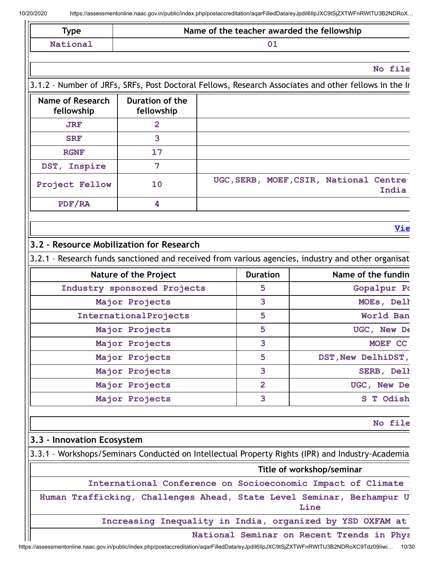|                                          |                                               | Name of the teacher awarded the fellowship |                                                                                                                                                                                                                                                                                                                                              |  |
|------------------------------------------|-----------------------------------------------|--------------------------------------------|----------------------------------------------------------------------------------------------------------------------------------------------------------------------------------------------------------------------------------------------------------------------------------------------------------------------------------------------|--|
| National                                 | 01                                            |                                            |                                                                                                                                                                                                                                                                                                                                              |  |
|                                          |                                               |                                            | No file                                                                                                                                                                                                                                                                                                                                      |  |
|                                          |                                               |                                            | 3.1.2 - Number of JRFs, SRFs, Post Doctoral Fellows, Research Associates and other fellows in the Ir                                                                                                                                                                                                                                         |  |
| <b>Name of Research</b><br>fellowship    | Duration of the<br>fellowship                 |                                            |                                                                                                                                                                                                                                                                                                                                              |  |
| <b>JRF</b>                               | $\overline{2}$                                |                                            |                                                                                                                                                                                                                                                                                                                                              |  |
| <b>SRF</b>                               | 3                                             |                                            |                                                                                                                                                                                                                                                                                                                                              |  |
| <b>RGNF</b>                              | 17                                            |                                            |                                                                                                                                                                                                                                                                                                                                              |  |
| DST, Inspire                             | 7                                             |                                            |                                                                                                                                                                                                                                                                                                                                              |  |
| Project Fellow                           | 10                                            |                                            | UGC, SERB, MOEF, CSIR, National Centre<br>India                                                                                                                                                                                                                                                                                              |  |
| PDF/RA                                   | 4                                             |                                            |                                                                                                                                                                                                                                                                                                                                              |  |
|                                          |                                               |                                            | <u>Vie</u>                                                                                                                                                                                                                                                                                                                                   |  |
|                                          |                                               |                                            |                                                                                                                                                                                                                                                                                                                                              |  |
| 3.2 - Resource Mobilization for Research |                                               |                                            |                                                                                                                                                                                                                                                                                                                                              |  |
|                                          |                                               |                                            | 3.2.1 - Research funds sanctioned and received from various agencies, industry and other organisat                                                                                                                                                                                                                                           |  |
|                                          | Nature of the Project                         | <b>Duration</b><br>5                       | Name of the fundin                                                                                                                                                                                                                                                                                                                           |  |
|                                          | Industry sponsored Projects<br>Major Projects | 3                                          | Gopalpur Po                                                                                                                                                                                                                                                                                                                                  |  |
|                                          |                                               | 5                                          | MOEs, Dell<br>World Ban                                                                                                                                                                                                                                                                                                                      |  |
|                                          | InternationalProjects<br>Major Projects       |                                            |                                                                                                                                                                                                                                                                                                                                              |  |
|                                          |                                               |                                            |                                                                                                                                                                                                                                                                                                                                              |  |
|                                          |                                               | 5                                          |                                                                                                                                                                                                                                                                                                                                              |  |
|                                          | Major Projects                                | 3                                          | UGC, New De<br>MOEF CC                                                                                                                                                                                                                                                                                                                       |  |
|                                          | Major Projects                                | 5                                          | DST, New DelhiDST,                                                                                                                                                                                                                                                                                                                           |  |
|                                          | Major Projects                                | 3                                          | SERB, Dell                                                                                                                                                                                                                                                                                                                                   |  |
|                                          | Major Projects<br>Major Projects              | $\overline{2}$<br>3                        |                                                                                                                                                                                                                                                                                                                                              |  |
|                                          |                                               |                                            |                                                                                                                                                                                                                                                                                                                                              |  |
|                                          |                                               |                                            |                                                                                                                                                                                                                                                                                                                                              |  |
|                                          |                                               |                                            |                                                                                                                                                                                                                                                                                                                                              |  |
|                                          |                                               |                                            | Title of workshop/seminar                                                                                                                                                                                                                                                                                                                    |  |
|                                          |                                               |                                            |                                                                                                                                                                                                                                                                                                                                              |  |
|                                          |                                               |                                            | Line                                                                                                                                                                                                                                                                                                                                         |  |
| 3.3 - Innovation Ecosystem               |                                               |                                            | UGC, New De<br>S T Odish<br>No file<br>3.3.1 - Workshops/Seminars Conducted on Intellectual Property Rights (IPR) and Industry-Academia<br>International Conference on Socioeconomic Impact of Climate<br>Human Trafficking, Challenges Ahead, State Level Seminar, Berhampur U<br>Increasing Inequality in India, organized by YSD OXFAM at |  |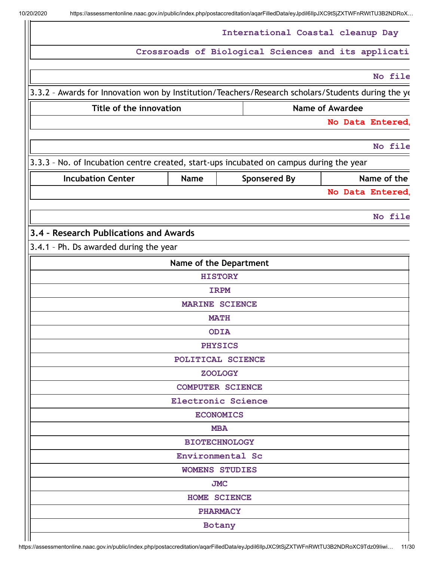|                                                                                                                     |             | International Coastal cleanup Day                   |                        |                  |
|---------------------------------------------------------------------------------------------------------------------|-------------|-----------------------------------------------------|------------------------|------------------|
|                                                                                                                     |             | Crossroads of Biological Sciences and its applicati |                        |                  |
|                                                                                                                     |             |                                                     |                        | No file          |
| 3.3.2 - Awards for Innovation won by Institution/Teachers/Research scholars/Students during the ye                  |             |                                                     |                        |                  |
| Title of the innovation                                                                                             |             |                                                     | <b>Name of Awardee</b> |                  |
|                                                                                                                     |             |                                                     |                        | No Data Entered  |
|                                                                                                                     |             |                                                     |                        | No file          |
|                                                                                                                     |             |                                                     |                        |                  |
| 3.3.3 - No. of Incubation centre created, start-ups incubated on campus during the year<br><b>Incubation Center</b> | <b>Name</b> |                                                     |                        | Name of the      |
|                                                                                                                     |             | <b>Sponsered By</b>                                 |                        | No Data Entered, |
|                                                                                                                     |             |                                                     |                        |                  |
|                                                                                                                     |             |                                                     |                        | No file          |
| 3.4 - Research Publications and Awards                                                                              |             |                                                     |                        |                  |
| 3.4.1 - Ph. Ds awarded during the year                                                                              |             |                                                     |                        |                  |
|                                                                                                                     |             | Name of the Department                              |                        |                  |
|                                                                                                                     |             | <b>HISTORY</b>                                      |                        |                  |
|                                                                                                                     |             | <b>IRPM</b>                                         |                        |                  |
|                                                                                                                     |             | <b>MARINE SCIENCE</b>                               |                        |                  |
|                                                                                                                     |             | <b>MATH</b><br><b>ODIA</b>                          |                        |                  |
|                                                                                                                     |             | <b>PHYSICS</b>                                      |                        |                  |
|                                                                                                                     |             | POLITICAL SCIENCE                                   |                        |                  |
|                                                                                                                     |             | <b>ZOOLOGY</b>                                      |                        |                  |
|                                                                                                                     |             | <b>COMPUTER SCIENCE</b>                             |                        |                  |
|                                                                                                                     |             | <b>Electronic Science</b>                           |                        |                  |
|                                                                                                                     |             | <b>ECONOMICS</b>                                    |                        |                  |
|                                                                                                                     |             | <b>MBA</b>                                          |                        |                  |
|                                                                                                                     |             | <b>BIOTECHNOLOGY</b>                                |                        |                  |
|                                                                                                                     |             | Environmental Sc<br><b>WOMENS STUDIES</b>           |                        |                  |
|                                                                                                                     |             | <b>JMC</b>                                          |                        |                  |
|                                                                                                                     |             | HOME SCIENCE                                        |                        |                  |
|                                                                                                                     |             | <b>PHARMACY</b>                                     |                        |                  |
|                                                                                                                     |             | Botany                                              |                        |                  |
|                                                                                                                     |             |                                                     |                        |                  |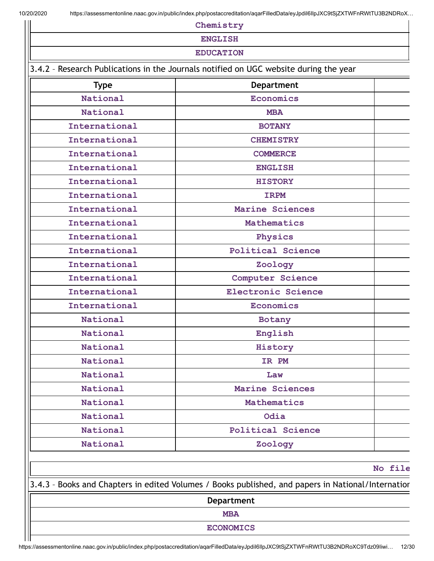**Chemistry ENGLISH EDUCATION** 3.4.2 – Research Publications in the Journals notified on UGC website during the year **Type Department National Economics National MBA International BOTANY International CHEMISTRY International COMMERCE International ENGLISH**

| International | <b>BOTANY</b>            |  |
|---------------|--------------------------|--|
| International | <b>CHEMISTRY</b>         |  |
| International | <b>COMMERCE</b>          |  |
| International | <b>ENGLISH</b>           |  |
| International | <b>HISTORY</b>           |  |
| International | <b>IRPM</b>              |  |
| International | Marine Sciences          |  |
| International | Mathematics              |  |
| International | Physics                  |  |
| International | <b>Political Science</b> |  |
| International | Zoology                  |  |
| International | Computer Science         |  |
| International | Electronic Science       |  |
| International | <b>Economics</b>         |  |
| National      | Botany                   |  |
| National      | English                  |  |
| National      | History                  |  |
| National      | IR PM                    |  |
| National      | Law                      |  |
| National      | Marine Sciences          |  |
| National      | Mathematics              |  |
| National      | Odia                     |  |
| National      | <b>Political Science</b> |  |
| National      | Zoology                  |  |
|               |                          |  |

**No file**

3.4.3 – Books and Chapters in edited Volumes / Books published, and papers in National/Internation

**Department**

**MBA**

**ECONOMICS**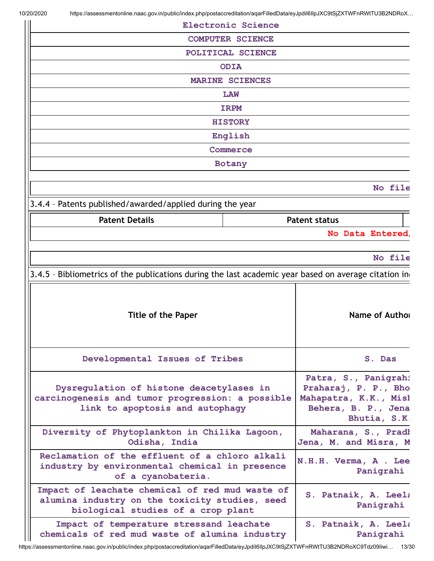| <b>Electronic Science</b>                                                                                                               |                                                                                                              |
|-----------------------------------------------------------------------------------------------------------------------------------------|--------------------------------------------------------------------------------------------------------------|
| <b>COMPUTER SCIENCE</b>                                                                                                                 |                                                                                                              |
| POLITICAL SCIENCE                                                                                                                       |                                                                                                              |
| <b>ODIA</b>                                                                                                                             |                                                                                                              |
| <b>MARINE SCIENCES</b>                                                                                                                  |                                                                                                              |
| <b>LAW</b>                                                                                                                              |                                                                                                              |
| <b>IRPM</b>                                                                                                                             |                                                                                                              |
| <b>HISTORY</b>                                                                                                                          |                                                                                                              |
| English                                                                                                                                 |                                                                                                              |
| Commerce                                                                                                                                |                                                                                                              |
| Botany                                                                                                                                  |                                                                                                              |
|                                                                                                                                         |                                                                                                              |
|                                                                                                                                         | No file                                                                                                      |
| 3.4.4 - Patents published/awarded/applied during the year                                                                               |                                                                                                              |
| <b>Patent Details</b>                                                                                                                   | <b>Patent status</b>                                                                                         |
|                                                                                                                                         | No Data Entered,                                                                                             |
|                                                                                                                                         |                                                                                                              |
|                                                                                                                                         | No file                                                                                                      |
| 3.4.5 - Bibliometrics of the publications during the last academic year based on average citation in                                    |                                                                                                              |
| <b>Title of the Paper</b>                                                                                                               | Name of Author                                                                                               |
| Developmental Issues of Tribes                                                                                                          | S. Das                                                                                                       |
| Dysregulation of histone deacetylases in<br>carcinogenesis and tumor progression: a possible<br>link to apoptosis and autophagy         | Patra, S., Panigrahi<br>Praharaj, P. P., Bho<br>Mahapatra, K.K., Misł<br>Behera, B. P., Jena<br>Bhutia, S.K. |
| Diversity of Phytoplankton in Chilika Lagoon,                                                                                           |                                                                                                              |
| Odisha, India                                                                                                                           | Maharana, S., Pradl<br>Jena, M. and Misra, M                                                                 |
| Reclamation of the effluent of a chloro alkali<br>industry by environmental chemical in presence<br>of a cyanobateria.                  | N.H.H. Verma, A . Lee<br>Panigrahi                                                                           |
| Impact of leachate chemical of red mud waste of<br>alumina industry on the toxicity studies, seed<br>biological studies of a crop plant | S. Patnaik, A. Leela<br>Panigrahi                                                                            |

https://assessmentonline.naac.gov.in/public/index.php/postaccreditation/aqarFilledData/eyJpdiI6IlpJXC9tSjZXTWFnRWtTU3B2NDRoXC9Tdz09Iiwi… 13/30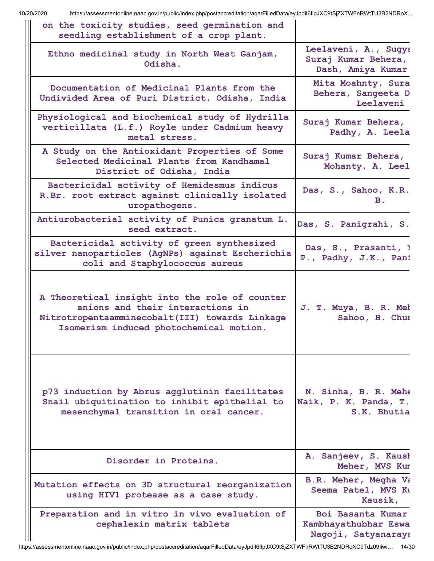| on the toxicity studies, seed germination and<br>seedling establishment of a crop plant.                                                                                        |                                                                  |
|---------------------------------------------------------------------------------------------------------------------------------------------------------------------------------|------------------------------------------------------------------|
| Ethno medicinal study in North West Ganjam,<br>Odisha.                                                                                                                          | Leelaveni, A., Sugya<br>Suraj Kumar Behera,<br>Dash, Amiya Kumar |
| Documentation of Medicinal Plants from the<br>Undivided Area of Puri District, Odisha, India                                                                                    | Mita Moahnty, Sura<br>Behera, Sangeeta D<br>Leelaveni            |
| Physiological and biochemical study of Hydrilla<br>verticillata (L.f.) Royle under Cadmium heavy<br>metal stress.                                                               | Suraj Kumar Behera,<br>Padhy, A. Leela                           |
| A Study on the Antioxidant Properties of Some<br>Selected Medicinal Plants from Kandhamal<br>District of Odisha, India                                                          | Suraj Kumar Behera,<br>Mohanty, A. Leel                          |
| Bactericidal activity of Hemidesmus indicus<br>R.Br. root extract against clinically isolated<br>uropathogens.                                                                  | Das, S., Sahoo, K.R.<br>В.                                       |
| Antiurobacterial activity of Punica granatum L.<br>seed extract.                                                                                                                | Das, S. Panigrahi, S.                                            |
| Bactericidal activity of green synthesized<br>silver nanoparticles (AgNPs) against Escherichia<br>coli and Staphylococcus aureus                                                | Das, S., Prasanti, 1<br>P., Padhy, J.K., Pani                    |
| A Theoretical insight into the role of counter<br>anions and their interactions in<br>Nitrotropentaamminecobalt(III) towards Linkage<br>Isomerism induced photochemical motion. | J. T. Muya, B. R. Mel<br>Sahoo, H. Chur                          |
| p73 induction by Abrus agglutinin facilitates<br>Snail ubiquitination to inhibit epithelial to<br>mesenchymal transition in oral cancer.                                        | N. Sinha, B. R. Mehe<br>Naik, P. K. Panda, T.<br>S.K. Bhutia     |
| Disorder in Proteins.                                                                                                                                                           | A. Sanjeev, S. Kausł<br>Meher, MVS Kur                           |
| Mutation effects on 3D structural reorganization<br>using HIV1 protease as a case study.                                                                                        | <b>B.R. Meher, Megha Va</b><br>Seema Patel, MVS Ku<br>Kausik,    |
| Preparation and in vitro in vivo evaluation of<br>cephalexin matrix tablets                                                                                                     | Boi Basanta Kumar<br>Kambhayathubhar Eswa<br>Nagoji, Satyanaraya |

https://assessmentonline.naac.gov.in/public/index.php/postaccreditation/aqarFilledData/eyJpdiI6IlpJXC9tSjZXTWFnRWtTU3B2NDRoXC9Tdz09Iiwi… 14/30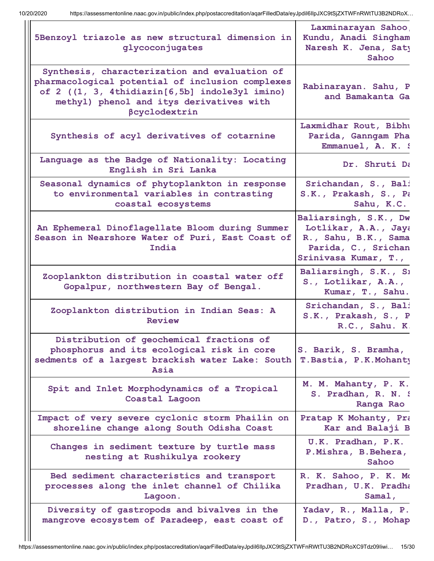| 5Benzoyl triazole as new structural dimension in<br>glycoconjugates                                                                                                                                              | Laxminarayan Sahoo,<br>Kundu, Anadi Singham<br>Naresh K. Jena, Saty<br>Sahoo                                         |
|------------------------------------------------------------------------------------------------------------------------------------------------------------------------------------------------------------------|----------------------------------------------------------------------------------------------------------------------|
| Synthesis, characterization and evaluation of<br>pharmacological potential of inclusion complexes<br>of 2 ((1, 3, 4thidiazin[6,5b] indole3yl imino)<br>methyl) phenol and itys derivatives with<br>βcyclodextrin | Rabinarayan. Sahu, P<br>and Bamakanta Ga                                                                             |
| Synthesis of acyl derivatives of cotarnine                                                                                                                                                                       | Laxmidhar Rout, Bibhu<br>Parida, Ganngam Pha<br>Emmanuel, A. K. S                                                    |
| Language as the Badge of Nationality: Locating<br>English in Sri Lanka                                                                                                                                           | Dr. Shruti Da                                                                                                        |
| Seasonal dynamics of phytoplankton in response<br>to environmental variables in contrasting<br>coastal ecosystems                                                                                                | Srichandan, S., Bali<br>S.K., Prakash, S., Pa<br>Sahu, K.C.                                                          |
| An Ephemeral Dinoflagellate Bloom during Summer<br>Season in Nearshore Water of Puri, East Coast of<br>India                                                                                                     | Baliarsingh, S.K., Dw<br>Lotlikar, A.A., Jaya<br>R., Sahu, B.K., Sama<br>Parida, C., Srichan<br>Srinivasa Kumar, T., |
| Zooplankton distribution in coastal water off<br>Gopalpur, northwestern Bay of Bengal.                                                                                                                           | Baliarsingh, S.K., Si<br>S., Lotlikar, A.A.,<br>Kumar, T., Sahu.                                                     |
| Zooplankton distribution in Indian Seas: A<br>Review                                                                                                                                                             | Srichandan, S., Bali<br>S.K., Prakash, S., P<br>R.C., Sahu. K.                                                       |
| Distribution of geochemical fractions of<br>phosphorus and its ecological risk in core<br>sedments of a largest brackish water Lake: South<br>Asia                                                               | S. Barik, S. Bramha,<br>T. Bastia, P.K. Mohanty                                                                      |
| Spit and Inlet Morphodynamics of a Tropical<br>Coastal Lagoon                                                                                                                                                    | M. M. Mahanty, P. K.<br>S. Pradhan, R. N. S<br>Ranga Rao                                                             |
| Impact of very severe cyclonic storm Phailin on<br>shoreline change along South Odisha Coast                                                                                                                     | Pratap K Mohanty, Pra<br>Kar and Balaji B                                                                            |
| Changes in sediment texture by turtle mass<br>nesting at Rushikulya rookery                                                                                                                                      | U.K. Pradhan, P.K.<br>P.Mishra, B.Behera,<br>Sahoo                                                                   |
| Bed sediment characteristics and transport<br>processes along the inlet channel of Chilika<br>Lagoon.                                                                                                            | R. K. Sahoo, P. K. Mo<br>Pradhan, U.K. Pradha<br>Samal,                                                              |
| Diversity of gastropods and bivalves in the<br>mangrove ecosystem of Paradeep, east coast of                                                                                                                     | Yadav, R., Malla, P.<br>D., Patro, S., Mohap                                                                         |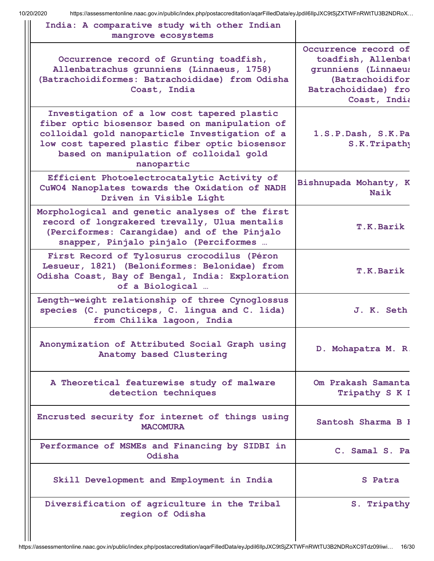| India: A comparative study with other Indian<br>mangrove ecosystems                                                                                                                                                                                        |                                                                                                                             |
|------------------------------------------------------------------------------------------------------------------------------------------------------------------------------------------------------------------------------------------------------------|-----------------------------------------------------------------------------------------------------------------------------|
| Occurrence record of Grunting toadfish,<br>Allenbatrachus grunniens (Linnaeus, 1758)<br>(Batrachoidiformes: Batrachoididae) from Odisha<br>Coast, India                                                                                                    | Occurrence record of<br>toadfish, Allenbat<br>grunniens (Linnaeus<br>(Batrachoidifor<br>Batrachoididae) fro<br>Coast, India |
| Investigation of a low cost tapered plastic<br>fiber optic biosensor based on manipulation of<br>colloidal gold nanoparticle Investigation of a<br>low cost tapered plastic fiber optic biosensor<br>based on manipulation of colloidal gold<br>nanopartic | 1.S.P.Dash, S.K.Pa<br>S.K. Tripathy                                                                                         |
| Efficient Photoelectrocatalytic Activity of<br>CuWO4 Nanoplates towards the Oxidation of NADH<br>Driven in Visible Light                                                                                                                                   | Bishnupada Mohanty, K<br>Naik                                                                                               |
| Morphological and genetic analyses of the first<br>record of longrakered trevally, Ulua mentalis<br>(Perciformes: Carangidae) and of the Pinjalo<br>snapper, Pinjalo pinjalo (Perciformes                                                                  | T.K.Barik                                                                                                                   |
| First Record of Tylosurus crocodilus (Péron<br>Lesueur, 1821) (Beloniformes: Belonidae) from<br>Odisha Coast, Bay of Bengal, India: Exploration<br>of a Biological                                                                                         | T.K.Barik                                                                                                                   |
| Length-weight relationship of three Cynoglossus<br>species (C. puncticeps, C. lingua and C. lida)<br>from Chilika lagoon, India                                                                                                                            | J. K. Seth                                                                                                                  |
| Anonymization of Attributed Social Graph using<br>Anatomy based Clustering                                                                                                                                                                                 | D. Mohapatra M. R.                                                                                                          |
| A Theoretical featurewise study of malware<br>detection techniques                                                                                                                                                                                         | Om Prakash Samanta<br>Tripathy S K I                                                                                        |
| Encrusted security for internet of things using<br><b>MACOMURA</b>                                                                                                                                                                                         | Santosh Sharma B I                                                                                                          |
| Performance of MSMEs and Financing by SIDBI in<br>Odisha                                                                                                                                                                                                   | C. Samal S. Pa                                                                                                              |
| Skill Development and Employment in India                                                                                                                                                                                                                  | S Patra                                                                                                                     |
| Diversification of agriculture in the Tribal<br>region of Odisha                                                                                                                                                                                           | S. Tripathy                                                                                                                 |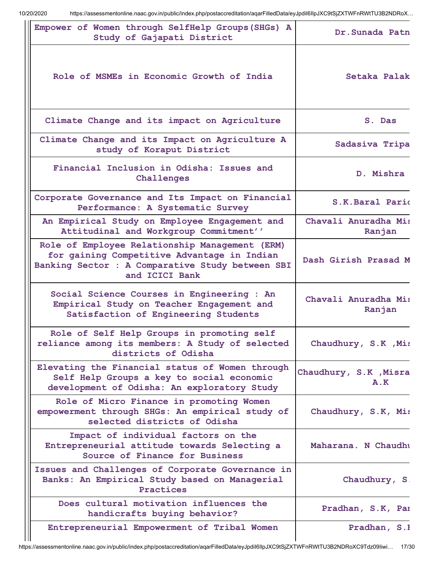| Empower of Women through SelfHelp Groups (SHGs) A<br>Study of Gajapati District                                                                                     | Dr. Sunada Patn                |
|---------------------------------------------------------------------------------------------------------------------------------------------------------------------|--------------------------------|
| Role of MSMEs in Economic Growth of India                                                                                                                           | Setaka Palak                   |
| Climate Change and its impact on Agriculture                                                                                                                        | S. Das                         |
| Climate Change and its Impact on Agriculture A<br>study of Koraput District                                                                                         | Sadasiva Tripa                 |
| Financial Inclusion in Odisha: Issues and<br>Challenges                                                                                                             | D. Mishra                      |
| Corporate Governance and Its Impact on Financial<br>Performance: A Systematic Survey                                                                                | S.K.Baral Pario                |
| An Empirical Study on Employee Engagement and<br>Attitudinal and Workgroup Commitment''                                                                             | Chavali Anuradha Mis<br>Ranjan |
| Role of Employee Relationship Management (ERM)<br>for gaining Competitive Advantage in Indian<br>Banking Sector : A Comparative Study between SBI<br>and ICICI Bank | Dash Girish Prasad M           |
| Social Science Courses in Engineering : An<br>Empirical Study on Teacher Engagement and<br>Satisfaction of Engineering Students                                     | Chavali Anuradha Mis<br>Ranjan |
| Role of Self Help Groups in promoting self<br>reliance among its members: A Study of selected<br>districts of Odisha                                                | Chaudhury, S.K , Mis           |
| Elevating the Financial status of Women through<br>Self Help Groups a key to social economic<br>development of Odisha: An exploratory Study                         | Chaudhury, S.K , Misra<br>A.K  |
| Role of Micro Finance in promoting Women<br>empowerment through SHGs: An empirical study of<br>selected districts of Odisha                                         | Chaudhury, S.K, Mis            |
| Impact of individual factors on the<br>Entrepreneurial attitude towards Selecting a<br>Source of Finance for Business                                               | Maharana. N Chaudhu            |
| Issues and Challenges of Corporate Governance in<br>Banks: An Empirical Study based on Managerial<br>Practices                                                      | Chaudhury, S.                  |
| Does cultural motivation influences the<br>handicrafts buying behavior?                                                                                             | Pradhan, S.K, Par              |
| Entrepreneurial Empowerment of Tribal Women                                                                                                                         | Pradhan, S.I                   |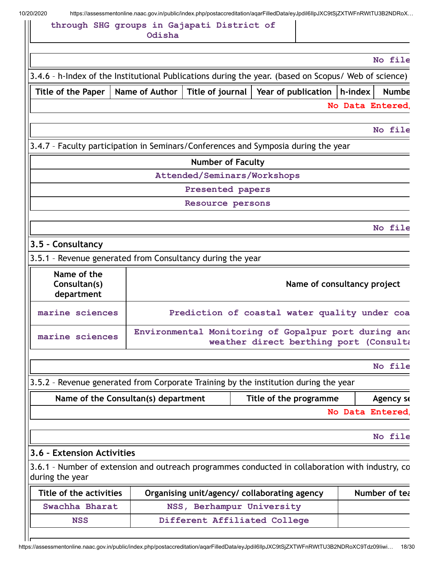## **through SHG groups in Gajapati District of Odisha**

| No file                                                                                              |                                                            |
|------------------------------------------------------------------------------------------------------|------------------------------------------------------------|
| 3.4.6 - h-Index of the Institutional Publications during the year. (based on Scopus/ Web of science) |                                                            |
| Title of journal<br>Year of publication  <br>h-index<br><b>Numbe</b>                                 | Title of the Paper   Name of Author                        |
| No Data Entered,                                                                                     |                                                            |
| No file                                                                                              |                                                            |
| 3.4.7 - Faculty participation in Seminars/Conferences and Symposia during the year                   |                                                            |
| <b>Number of Faculty</b>                                                                             |                                                            |
| Attended/Seminars/Workshops                                                                          |                                                            |
| Presented papers                                                                                     |                                                            |
| Resource persons                                                                                     |                                                            |
| No file                                                                                              |                                                            |
|                                                                                                      | 3.5 - Consultancy                                          |
|                                                                                                      | 3.5.1 - Revenue generated from Consultancy during the year |
| Name of consultancy project                                                                          | Name of the<br>Consultan(s)<br>department                  |
| Prediction of coastal water quality under coa                                                        | marine sciences                                            |
| Environmental Monitoring of Gopalpur port during and<br>weather direct berthing port (Consulta       | marine sciences                                            |
| No file                                                                                              |                                                            |
| 3.5.2 - Revenue generated from Corporate Training by the institution during the year                 |                                                            |
| Title of the programme<br>Agency se                                                                  | Name of the Consultan(s) department                        |
| No Data Entered,                                                                                     |                                                            |
| No file                                                                                              |                                                            |
|                                                                                                      | 3.6 - Extension Activities                                 |
| 3.6.1 - Number of extension and outreach programmes conducted in collaboration with industry, co     | during the year                                            |
| Number of tea<br>Organising unit/agency/ collaborating agency                                        | Title of the activities                                    |
|                                                                                                      |                                                            |
| NSS, Berhampur University                                                                            | Swachha Bharat                                             |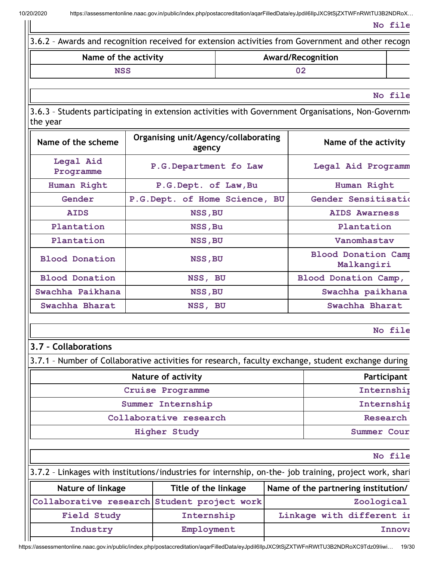| Name of the activity                        |                                                |                               | Award/Recognition    |                                          |                                                                                                         |  |
|---------------------------------------------|------------------------------------------------|-------------------------------|----------------------|------------------------------------------|---------------------------------------------------------------------------------------------------------|--|
| <b>NSS</b>                                  |                                                | 02                            |                      |                                          |                                                                                                         |  |
|                                             |                                                |                               |                      |                                          |                                                                                                         |  |
|                                             |                                                |                               |                      |                                          | No file                                                                                                 |  |
| the year                                    |                                                |                               |                      |                                          | 3.6.3 - Students participating in extension activities with Government Organisations, Non-Governme      |  |
| Name of the scheme                          | Organising unit/Agency/collaborating<br>agency |                               |                      | Name of the activity                     |                                                                                                         |  |
| Legal Aid<br>Programme                      |                                                | P.G.Department fo Law         |                      |                                          | Legal Aid Programm                                                                                      |  |
| Human Right                                 |                                                | P.G.Dept. of Law, Bu          |                      |                                          | Human Right                                                                                             |  |
| Gender                                      |                                                | P.G.Dept. of Home Science, BU |                      |                                          | Gender Sensitisatio                                                                                     |  |
| <b>AIDS</b>                                 |                                                | NSS, BU                       |                      |                                          | <b>AIDS Awarness</b>                                                                                    |  |
| Plantation                                  |                                                | NSS, Bu                       |                      |                                          | Plantation                                                                                              |  |
| Plantation                                  |                                                | NSS, BU                       |                      |                                          | Vanomhastav                                                                                             |  |
| <b>Blood Donation</b>                       | NSS, BU                                        |                               |                      | <b>Blood Donation Camp</b><br>Malkangiri |                                                                                                         |  |
| <b>Blood Donation</b>                       | NSS, BU                                        |                               | Blood Donation Camp, |                                          |                                                                                                         |  |
| Swachha Paikhana                            |                                                | NSS, BU                       |                      |                                          | Swachha paikhana                                                                                        |  |
| Swachha Bharat                              |                                                | NSS, BU                       |                      |                                          | Swachha Bharat                                                                                          |  |
|                                             |                                                |                               |                      |                                          | No file                                                                                                 |  |
| 3.7 - Collaborations                        |                                                |                               |                      |                                          |                                                                                                         |  |
|                                             |                                                |                               |                      |                                          | 3.7.1 - Number of Collaborative activities for research, faculty exchange, student exchange during      |  |
| <b>Nature of activity</b>                   |                                                |                               |                      | Participant                              |                                                                                                         |  |
|                                             |                                                | <b>Cruise Programme</b>       |                      |                                          | Internship                                                                                              |  |
| Summer Internship                           |                                                |                               |                      | Internship                               |                                                                                                         |  |
| Collaborative research                      |                                                |                               |                      | Research                                 |                                                                                                         |  |
|                                             |                                                | <b>Higher Study</b>           |                      |                                          | Summer Cour                                                                                             |  |
|                                             |                                                |                               |                      |                                          | No file                                                                                                 |  |
|                                             |                                                |                               |                      |                                          | 3.7.2 - Linkages with institutions/industries for internship, on-the- job training, project work, shari |  |
| Nature of linkage                           |                                                | Title of the linkage          |                      |                                          | Name of the partnering institution/                                                                     |  |
| Collaborative research Student project work |                                                |                               |                      | Zoological                               |                                                                                                         |  |

| Collaborative research Student project work |            | Zoological                |
|---------------------------------------------|------------|---------------------------|
| Field Study                                 | Internship | Linkage with different in |
| Industry                                    | Employment | Innova                    |
|                                             |            |                           |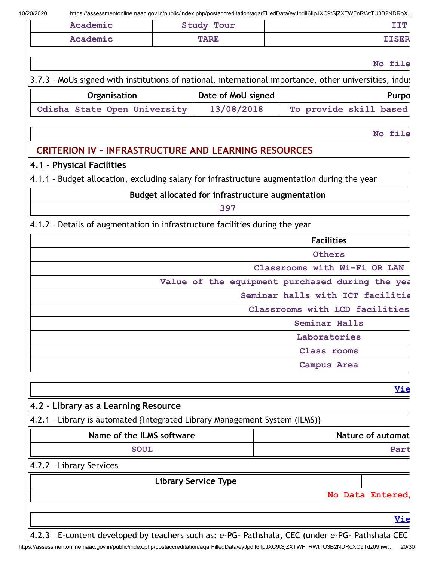| Academic                                                                                               | Study Tour                                       | https://assessmentonline.naac.gov.in/public/index.php/postaccreditation/aqarFilledData/eyJpdil6llpJXC9tSjZXTWFnRWtTU3B2NDRoX… | IIT                      |
|--------------------------------------------------------------------------------------------------------|--------------------------------------------------|-------------------------------------------------------------------------------------------------------------------------------|--------------------------|
| Academic                                                                                               | <b>TARE</b>                                      |                                                                                                                               | <b>IISER</b>             |
|                                                                                                        |                                                  |                                                                                                                               | No file                  |
| 3.7.3 - MoUs signed with institutions of national, international importance, other universities, indus |                                                  |                                                                                                                               |                          |
| Organisation                                                                                           | Date of MoU signed                               |                                                                                                                               | Purpo                    |
| Odisha State Open University                                                                           | 13/08/2018                                       | To provide skill based                                                                                                        |                          |
|                                                                                                        |                                                  |                                                                                                                               | No file                  |
| <b>CRITERION IV - INFRASTRUCTURE AND LEARNING RESOURCES</b>                                            |                                                  |                                                                                                                               |                          |
| 4.1 - Physical Facilities                                                                              |                                                  |                                                                                                                               |                          |
| 4.1.1 - Budget allocation, excluding salary for infrastructure augmentation during the year            |                                                  |                                                                                                                               |                          |
|                                                                                                        | Budget allocated for infrastructure augmentation |                                                                                                                               |                          |
|                                                                                                        | 397                                              |                                                                                                                               |                          |
| 4.1.2 - Details of augmentation in infrastructure facilities during the year                           |                                                  |                                                                                                                               |                          |
|                                                                                                        |                                                  | <b>Facilities</b>                                                                                                             |                          |
|                                                                                                        |                                                  | Others                                                                                                                        |                          |
|                                                                                                        |                                                  | Classrooms with Wi-Fi OR LAN                                                                                                  |                          |
|                                                                                                        |                                                  | Value of the equipment purchased during the yea                                                                               |                          |
|                                                                                                        |                                                  | Seminar halls with ICT facilitie                                                                                              |                          |
|                                                                                                        |                                                  | Classrooms with LCD facilities                                                                                                |                          |
|                                                                                                        |                                                  | Seminar Halls<br>Laboratories                                                                                                 |                          |
|                                                                                                        |                                                  | Class rooms                                                                                                                   |                          |
|                                                                                                        |                                                  | Campus Area                                                                                                                   |                          |
|                                                                                                        |                                                  |                                                                                                                               | <u>Vie</u>               |
| 4.2 - Library as a Learning Resource                                                                   |                                                  |                                                                                                                               |                          |
| 4.2.1 - Library is automated {Integrated Library Management System (ILMS)}                             |                                                  |                                                                                                                               |                          |
| Name of the ILMS software                                                                              |                                                  |                                                                                                                               | <b>Nature of automat</b> |
| <b>SOUL</b>                                                                                            |                                                  |                                                                                                                               | Part                     |
| 4.2.2 - Library Services                                                                               |                                                  |                                                                                                                               |                          |
|                                                                                                        | <b>Library Service Type</b>                      |                                                                                                                               |                          |
|                                                                                                        |                                                  |                                                                                                                               | No Data Entered,         |
|                                                                                                        |                                                  |                                                                                                                               | <u>Vie</u>               |
|                                                                                                        |                                                  |                                                                                                                               |                          |

https://assessmentonline.naac.gov.in/public/index.php/postaccreditation/aqarFilledData/eyJpdiI6IlpJXC9tSjZXTWFnRWtTU3B2NDRoXC9Tdz09Iiwi… 20/30  $\sqrt{\frac{4.2.3 - E\text{-} \text{content}}{2.2.3}}$  E-content developed by teachers such as: e-PG- Pathshala, CEC (under e-PG- Pathshala CEC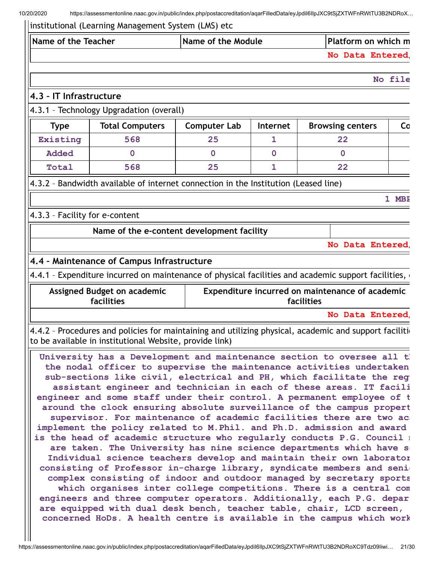| Name of the Teacher                                                  |                                                                                                                                             | Name of the Module  |                 |            | Platform on which m                             |         |
|----------------------------------------------------------------------|---------------------------------------------------------------------------------------------------------------------------------------------|---------------------|-----------------|------------|-------------------------------------------------|---------|
|                                                                      |                                                                                                                                             |                     |                 |            | No Data Entered,                                |         |
|                                                                      |                                                                                                                                             |                     |                 |            |                                                 | No file |
| 4.3 - IT Infrastructure                                              |                                                                                                                                             |                     |                 |            |                                                 |         |
|                                                                      | 4.3.1 - Technology Upgradation (overall)                                                                                                    |                     |                 |            |                                                 |         |
| <b>Type</b>                                                          | <b>Total Computers</b>                                                                                                                      | <b>Computer Lab</b> | <b>Internet</b> |            | <b>Browsing centers</b>                         | Co      |
| Existing                                                             | 568                                                                                                                                         | 25                  | 1               |            | 22                                              |         |
| <b>Added</b>                                                         | $\overline{0}$                                                                                                                              | $\mathbf 0$         | $\mathbf 0$     |            | $\mathbf 0$                                     |         |
| Total                                                                | 568                                                                                                                                         | 25                  | $\mathbf{1}$    |            | 22                                              |         |
|                                                                      | 4.3.2 - Bandwidth available of internet connection in the Institution (Leased line)                                                         |                     |                 |            |                                                 |         |
|                                                                      |                                                                                                                                             |                     |                 |            |                                                 | 1 MBE   |
| 4.3.3 - Facility for e-content                                       |                                                                                                                                             |                     |                 |            |                                                 |         |
|                                                                      | Name of the e-content development facility                                                                                                  |                     |                 |            |                                                 |         |
|                                                                      |                                                                                                                                             |                     |                 |            | No Data Entered,                                |         |
|                                                                      |                                                                                                                                             |                     |                 |            |                                                 |         |
|                                                                      | 4.4 - Maintenance of Campus Infrastructure                                                                                                  |                     |                 |            |                                                 |         |
|                                                                      | 4.4.1 - Expenditure incurred on maintenance of physical facilities and academic support facilities,                                         |                     |                 |            |                                                 |         |
|                                                                      | Assigned Budget on academic<br>facilities                                                                                                   |                     |                 | facilities | Expenditure incurred on maintenance of academic |         |
|                                                                      |                                                                                                                                             |                     |                 |            | No Data Entered,                                |         |
|                                                                      | 4.4.2 - Procedures and policies for maintaining and utilizing physical, academic and support facilition                                     |                     |                 |            |                                                 |         |
|                                                                      | to be available in institutional Website, provide link)                                                                                     |                     |                 |            |                                                 |         |
|                                                                      | University has a Development and maintenance section to oversee all t                                                                       |                     |                 |            |                                                 |         |
|                                                                      | the nodal officer to supervise the maintenance activities undertaken                                                                        |                     |                 |            |                                                 |         |
|                                                                      | sub-sections like civil, electrical and PH, which facilitate the reg<br>assistant engineer and technician in each of these areas. IT facili |                     |                 |            |                                                 |         |
|                                                                      | engineer and some staff under their control. A permanent employee of t                                                                      |                     |                 |            |                                                 |         |
|                                                                      | around the clock ensuring absolute surveillance of the campus propert                                                                       |                     |                 |            |                                                 |         |
|                                                                      | supervisor. For maintenance of academic facilities there are two ac                                                                         |                     |                 |            |                                                 |         |
|                                                                      | implement the policy related to M. Phil. and Ph.D. admission and award                                                                      |                     |                 |            |                                                 |         |
|                                                                      | is the head of academic structure who regularly conducts P.G. Council :                                                                     |                     |                 |            |                                                 |         |
| are taken. The University has nine science departments which have so |                                                                                                                                             |                     |                 |            |                                                 |         |
|                                                                      | Individual science teachers develop and maintain their own laborator                                                                        |                     |                 |            |                                                 |         |
|                                                                      | consisting of Professor in-charge library, syndicate members and seni-                                                                      |                     |                 |            |                                                 |         |
|                                                                      | complex consisting of indoor and outdoor managed by secretary sports                                                                        |                     |                 |            |                                                 |         |
|                                                                      | which organises inter college competitions. There is a central com                                                                          |                     |                 |            |                                                 |         |
|                                                                      | engineers and three computer operators. Additionally, each P.G. depar                                                                       |                     |                 |            |                                                 |         |
|                                                                      | are equipped with dual desk bench, teacher table, chair, LCD screen,                                                                        |                     |                 |            |                                                 |         |

**concerned HoDs. A health centre is available in the campus which work**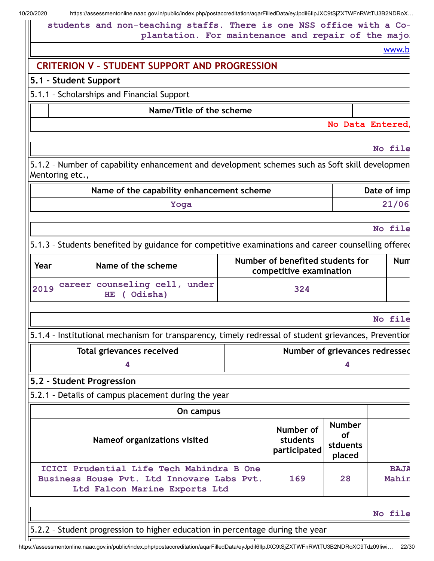**students and non-teaching staffs. There is one NSS office with a Coplantation. For maintenance and repair of the major**

[www.b](https://assessmentonline.naac.gov.in/public/index.php/postaccreditation/aqarFilledData/www.bamu.nic.in)

# **CRITERION V – STUDENT SUPPORT AND PROGRESSION**

### **5.1 – Student Support**

## 5.1.1 – Scholarships and Financial Support

### **Name/Title of the scheme**

#### **No Data Entered/**

**No file**

5.1.2 – Number of capability enhancement and development schemes such as Soft skill developmen Mentoring etc.,

| Name of the capability enhancement scheme | Date of imp |
|-------------------------------------------|-------------|
| Yoga                                      | 21/06       |

#### **No file**

5.1.3 - Students benefited by guidance for competitive examinations and career counselling offered

| Year | Name of the scheme                           | Number of benefited students for<br>competitive examination | Num |
|------|----------------------------------------------|-------------------------------------------------------------|-----|
| 2019 | career counseling cell, under<br>HE (Odisha) | 324                                                         |     |

#### **No file**

5.1.4 – Institutional mechanism for transparency, timely redressal of student grievances, Prevention

| Total grievances received | Number of grievances redressec |
|---------------------------|--------------------------------|
|                           |                                |

#### **5.2 – Student Progression**

5.2.1 – Details of campus placement during the year

| On campus                                                                                                                |                                       |                                                  |                      |
|--------------------------------------------------------------------------------------------------------------------------|---------------------------------------|--------------------------------------------------|----------------------|
| Nameof organizations visited                                                                                             | Number of<br>students<br>participated | <b>Number</b><br><b>of</b><br>stduents<br>placed |                      |
| ICICI Prudential Life Tech Mahindra B One<br>Business House Pvt. Ltd Innovare Labs Pvt.<br>Ltd Falcon Marine Exports Ltd | 169                                   | 28                                               | <b>BAJA</b><br>Mahin |

#### **No file**

5.2.2 – Student progression to higher education in percentage during the year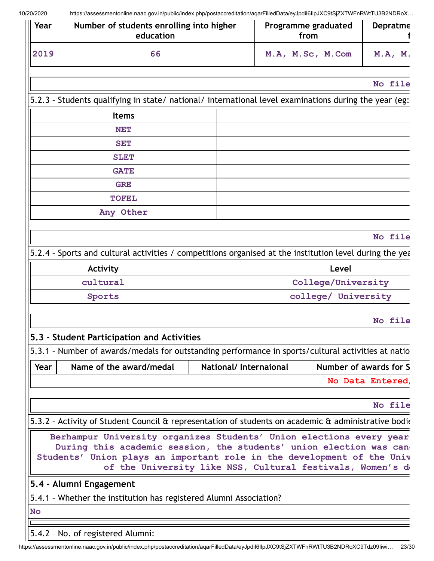| Year       | Number of students enrolling into higher<br>education                                                                                                                                                               |                       | Programme graduated<br>from | Depratme                                                   |
|------------|---------------------------------------------------------------------------------------------------------------------------------------------------------------------------------------------------------------------|-----------------------|-----------------------------|------------------------------------------------------------|
| 2019<br>66 |                                                                                                                                                                                                                     |                       | M.A, M.Sc, M.Com            | M.A, M.                                                    |
|            |                                                                                                                                                                                                                     |                       |                             | No file                                                    |
|            | 5.2.3 - Students qualifying in state/ national/ international level examinations during the year (eg:                                                                                                               |                       |                             |                                                            |
|            | <b>Items</b>                                                                                                                                                                                                        |                       |                             |                                                            |
|            | <b>NET</b>                                                                                                                                                                                                          |                       |                             |                                                            |
|            | <b>SET</b><br><b>SLET</b>                                                                                                                                                                                           |                       |                             |                                                            |
|            |                                                                                                                                                                                                                     |                       |                             |                                                            |
|            | <b>GATE</b>                                                                                                                                                                                                         |                       |                             |                                                            |
|            | <b>GRE</b>                                                                                                                                                                                                          |                       |                             |                                                            |
|            | <b>TOFEL</b>                                                                                                                                                                                                        |                       |                             |                                                            |
|            | Any Other                                                                                                                                                                                                           |                       |                             |                                                            |
|            |                                                                                                                                                                                                                     |                       |                             | No file                                                    |
|            |                                                                                                                                                                                                                     |                       |                             |                                                            |
|            | 5.2.4 - Sports and cultural activities / competitions organised at the institution level during the year-                                                                                                           |                       |                             | Level                                                      |
|            | <b>Activity</b><br>cultural                                                                                                                                                                                         |                       |                             | College/University                                         |
|            | Sports                                                                                                                                                                                                              |                       |                             | college/ University                                        |
|            |                                                                                                                                                                                                                     |                       |                             |                                                            |
|            |                                                                                                                                                                                                                     |                       |                             | No file                                                    |
|            | 5.3 - Student Participation and Activities                                                                                                                                                                          |                       |                             |                                                            |
|            | 5.3.1 - Number of awards/medals for outstanding performance in sports/cultural activities at natio                                                                                                                  |                       |                             |                                                            |
| Year       | Name of the award/medal                                                                                                                                                                                             | National/Internaional |                             | Number of awards for S                                     |
|            |                                                                                                                                                                                                                     |                       |                             | No Data Entered,                                           |
|            |                                                                                                                                                                                                                     |                       |                             | No file                                                    |
|            | 5.3.2 - Activity of Student Council & representation of students on academic & administrative bodio                                                                                                                 |                       |                             |                                                            |
|            |                                                                                                                                                                                                                     |                       |                             |                                                            |
|            | Berhampur University organizes Students' Union elections every year<br>During this academic session, the students' union election was can<br>Students' Union plays an important role in the development of the Univ |                       |                             | of the University like NSS, Cultural festivals, Women's de |
|            | 5.4 - Alumni Engagement                                                                                                                                                                                             |                       |                             |                                                            |
|            | 5.4.1 - Whether the institution has registered Alumni Association?                                                                                                                                                  |                       |                             |                                                            |
| <b>No</b>  |                                                                                                                                                                                                                     |                       |                             |                                                            |
|            |                                                                                                                                                                                                                     |                       |                             |                                                            |
|            | 5.4.2 - No. of registered Alumni:                                                                                                                                                                                   |                       |                             |                                                            |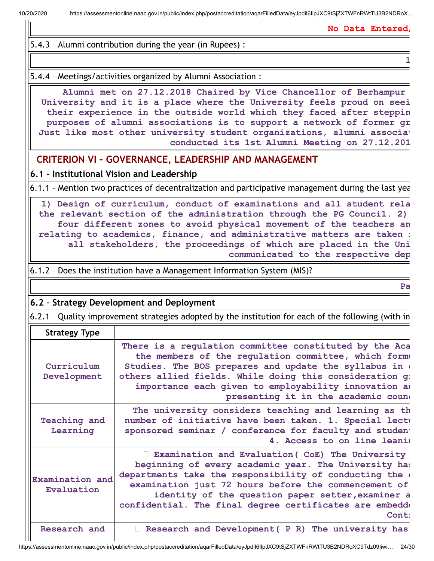**No Data Entered/**

**1**

5.4.3 – Alumni contribution during the year (in Rupees) :

5.4.4 – Meetings/activities organized by Alumni Association :

**Alumni met on 27.12.2018 Chaired by Vice Chancellor of Berhampur University and it is a place where the University feels proud on seei their experience in the outside world which they faced after steppin purposes of alumni associations is to support a network of former gr Just like most other university student organizations, alumni associat conducted its 1st Alumni Meeting on 27.12.201**

**CRITERION VI – GOVERNANCE, LEADERSHIP AND MANAGEMENT**

**6.1 – Institutional Vision and Leadership**

6.1.1 – Mention two practices of decentralization and participative management during the last yea

**1) Design of curriculum, conduct of examinations and all student rela the relevant section of the administration through the PG Council. 2) four different zones to avoid physical movement of the teachers an relating to academics, finance, and administrative matters are taken i all stakeholders, the proceedings of which are placed in the Uni communicated to the respective dep**

6.1.2 – Does the institution have a Management Information System (MIS)?

**Pa**

# **6.2 – Strategy Development and Deployment**

6.2.1 – Quality improvement strategies adopted by the institution for each of the following (with in

| <b>Strategy Type</b>          |                                                                                                                                                                                                                                                                                                                                                     |
|-------------------------------|-----------------------------------------------------------------------------------------------------------------------------------------------------------------------------------------------------------------------------------------------------------------------------------------------------------------------------------------------------|
| Curriculum<br>Development     | There is a regulation committee constituted by the Aca<br>the members of the regulation committee, which form<br>Studies. The BOS prepares and update the syllabus in<br>others allied fields. While doing this consideration g:<br>importance each given to employability innovation an<br>presenting it in the academic cound                     |
| Teaching and<br>Learning      | The university considers teaching and learning as th<br>number of initiative have been taken. 1. Special lect<br>sponsored seminar / conference for faculty and studen<br>4. Access to on line leani                                                                                                                                                |
| Examination and<br>Evaluation | Examination and Evaluation (CoE) The University<br>beginning of every academic year. The University has<br>departments take the responsibility of conducting the a<br>examination just 72 hours before the commencement of<br>identity of the question paper setter, examiner a<br>confidential. The final degree certificates are embedde<br>Cont: |
| Research and                  | Research and Development ( P R) The university has                                                                                                                                                                                                                                                                                                  |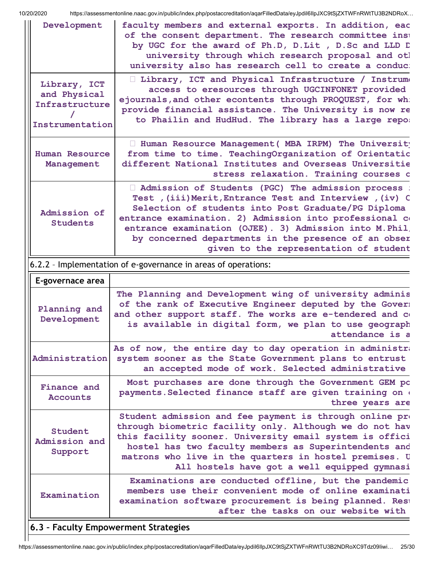| Development                                                       | faculty members and external exports. In addition, eac<br>of the consent department. The research committee inst<br>by UGC for the award of Ph.D, D.Lit, D.Sc and LLD D<br>university through which research proposal and otl<br>university also has research cell to create a conduc:                                                                                                         |
|-------------------------------------------------------------------|------------------------------------------------------------------------------------------------------------------------------------------------------------------------------------------------------------------------------------------------------------------------------------------------------------------------------------------------------------------------------------------------|
| Library, ICT<br>and Physical<br>Infrastructure<br>Instrumentation | I Library, ICT and Physical Infrastructure / Instrume<br>access to eresources through UGCINFONET provided<br>ejournals, and other econtents through PROQUEST, for wh:<br>provide financial assistance. The University is now re<br>to Phailin and HudHud. The library has a large repo:                                                                                                        |
| <b>Human Resource</b><br>Management                               | I Human Resource Management ( MBA IRPM) The University<br>from time to time. TeachingOrganization of Orientatio<br>different National Institutes and Overseas Universitie<br>stress relaxation. Training courses o                                                                                                                                                                             |
| Admission of<br><b>Students</b>                                   | Admission of Students (PGC) The admission process :<br>Test , (iii) Merit, Entrance Test and Interview , (iv) C<br>Selection of students into Post Graduate/PG Diploma<br>entrance examination. 2) Admission into professional co<br>entrance examination (OJEE). 3) Admission into M. Phil.<br>by concerned departments in the presence of an obser<br>given to the representation of student |
|                                                                   | 6.2.2 - Implementation of e-governance in areas of operations:                                                                                                                                                                                                                                                                                                                                 |
| E-governace area                                                  |                                                                                                                                                                                                                                                                                                                                                                                                |
| Planning and<br>Development                                       | The Planning and Development wing of university adminis<br>of the rank of Executive Engineer deputed by the Gover:<br>and other support staff. The works are e-tendered and co<br>is available in digital form, we plan to use geograph<br>attendance is a                                                                                                                                     |
| Administration                                                    | As of now, the entire day to day operation in administra<br>system sooner as the State Government plans to entrust<br>an accepted mode of work. Selected administrative                                                                                                                                                                                                                        |
| Finance and<br><b>Accounts</b>                                    | Most purchases are done through the Government GEM pc<br>payments. Selected finance staff are given training on $($<br>three years are                                                                                                                                                                                                                                                         |
| Student<br>Admission and<br>Support                               | Student admission and fee payment is through online $pr$<br>through biometric facility only. Although we do not hav<br>this facility sooner. University email system is offici<br>hostel has two faculty members as Superintendents and<br>matrons who live in the quarters in hostel premises. U<br>All hostels have got a well equipped gymnasi                                              |
|                                                                   | Examinations are conducted offline, but the pandemic                                                                                                                                                                                                                                                                                                                                           |
| Examination                                                       | members use their convenient mode of online examinati<br>examination software procurement is being planned. Rest<br>after the tasks on our website with                                                                                                                                                                                                                                        |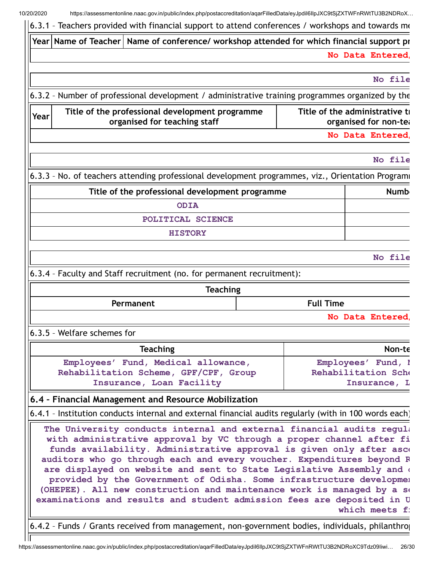10/20/2020 https://assessmentonline.naac.gov.in/public/index.php/postaccreditation/aqarFilledData/eyJpdiI6IlpJXC9tSjZXTWFnRWtTU3B2NDRoX… 6.3.1 – Teachers provided with financial support to attend conferences / workshops and towards me **Year Name of Teacher Name of conference/ workshop attended for which financial support pr No Data Entered/ No file** 6.3.2 – Number of professional development / administrative training programmes organized by the **Year Title of the professional development programme organised for teaching staff Title of the administrative tr organised for non-tea No Data Entered/ No file** 6.3.3 - No. of teachers attending professional development programmes, viz., Orientation Programi **Title of the professional development programme Title of the professional development programme ODIA POLITICAL SCIENCE HISTORY No file** 6.3.4 – Faculty and Staff recruitment (no. for permanent recruitment): **Teaching Permanent Full Time No Data Entered/** 6.3.5 – Welfare schemes for **Teaching Non-te Employees' Fund, Medical allowance, Rehabilitation Scheme, GPF/CPF, Group Insurance, Loan Facility** Employees' Fund, I **Rehabilitation Sche Insurance, L 6.4 – Financial Management and Resource Mobilization** 6.4.1 – Institution conducts internal and external financial audits regularly (with in 100 words each) **The University conducts internal and external financial audits regula with administrative approval by VC through a proper channel after fi funds availability. Administrative approval is given only after asce auditors who go through each and every voucher. Expenditures beyond R are displayed on website and sent to State Legislative Assembly and d provided by the Government of Odisha. Some infrastructure developmen (OHEPEE). All new construction and maintenance work is managed by a se examinations and results and student admission fees are deposited in U which** meets f:

6.4.2 – Funds / Grants received from management, non-government bodies, individuals, philanthrop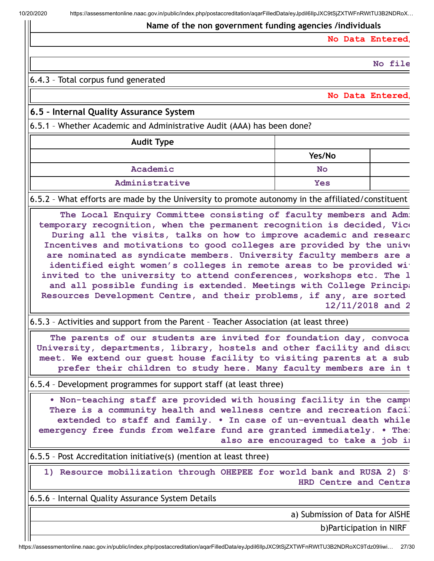#### **Name of the non government funding agencies /individuals**

**No Data Entered/**

**No file**

#### 6.4.3 – Total corpus fund generated

**No Data Entered/**

### **6.5 – Internal Quality Assurance System**

6.5.1 – Whether Academic and Administrative Audit (AAA) has been done?

| <b>Audit Type</b> |            |  |
|-------------------|------------|--|
|                   | Yes/No     |  |
| Academic          | <b>No</b>  |  |
| Administrative    | <b>Yes</b> |  |

6.5.2 – What efforts are made by the University to promote autonomy in the affiliated/constituent

**The Local Enquiry Committee consisting of faculty members and Admi temporary recognition, when the permanent recognition is decided, Vice During all the visits, talks on how to improve academic and researc Incentives and motivations to good colleges are provided by the unive are nominated as syndicate members. University faculty members are a identified eight women's colleges in remote areas to be provided wit invited to the university to attend conferences, workshops etc. The l and all possible funding is extended. Meetings with College Principa Resources Development Centre, and their problems, if any, are sorted 12/11/2018 and 2**

6.5.3 – Activities and support from the Parent – Teacher Association (at least three)

**The parents of our students are invited for foundation day, convoca University, departments, library, hostels and other facility and discu meet. We extend our guest house facility to visiting parents at a sub prefer their children to study here. Many faculty members are in t**

6.5.4 – Development programmes for support staff (at least three)

**• Non-teaching staff are provided with housing facility in the campu There is a community health and wellness centre and recreation facil extended to staff and family. • In case of un-eventual death while emergency free funds from welfare fund are granted immediately. • Ther also are encouraged to take a job in**

6.5.5 – Post Accreditation initiative(s) (mention at least three)

**1) Resource mobilization through OHEPEE for world bank and RUSA 2) St HRD Centre and Centra**

6.5.6 – Internal Quality Assurance System Details

a) Submission of Data for AISHE

b)Participation in NIRF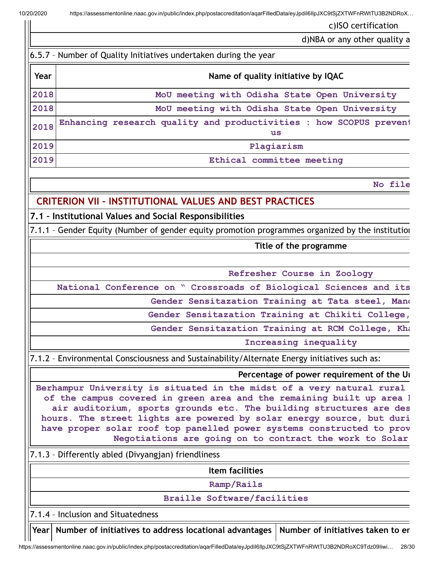c)ISO certification

d)NBA or any other quality a

| 6.5.7 - Number of Quality Initiatives undertaken during the year |                                    |  |  |
|------------------------------------------------------------------|------------------------------------|--|--|
| Year                                                             | Name of quality initiative by IQAC |  |  |
| 0.010                                                            |                                    |  |  |

**2018 MoU meeting with Odisha State Open University**

**2018 MoU meeting with Odisha State Open University**

**2018 Enhancing research quality and productivities : how SCOPUS prevent us 2019 Plagiarism**

**2019 Ethical committee meeting**

**No file**

# **CRITERION VII – INSTITUTIONAL VALUES AND BEST PRACTICES**

## **7.1 – Institutional Values and Social Responsibilities**

7.1.1 – Gender Equity (Number of gender equity promotion programmes organized by the institution

### **Title of the programme**

### **Refresher Course in Zoology**

**National Conference on " Crossroads of Biological Sciences and its**

**Gender Sensitazation Training at Tata steel, Mand**

**Gender Sensitazation Training at Chikiti College,**

**Gender Sensitazation Training at RCM College, Kha**

**Increasing inequality**

7.1.2 – Environmental Consciousness and Sustainability/Alternate Energy initiatives such as:

### **Percentage of power requirement of the Un**

**Berhampur University is situated in the midst of a very natural rural of the campus covered in green area and the remaining built up area h air auditorium, sports grounds etc. The building structures are des hours. The street lights are powered by solar energy source, but duri have proper solar roof top panelled power systems constructed to prov Negotiations are going on to contract the work to Solar**

7.1.3 – Differently abled (Divyangjan) friendliness

**Item facilities**

**Ramp/Rails**

#### **Braille Software/facilities**

7.1.4 – Inclusion and Situatedness

Year | Number of initiatives to address locational advantages | Number of initiatives taken to er

https://assessmentonline.naac.gov.in/public/index.php/postaccreditation/aqarFilledData/eyJpdiI6IlpJXC9tSjZXTWFnRWtTU3B2NDRoXC9Tdz09Iiwi… 28/30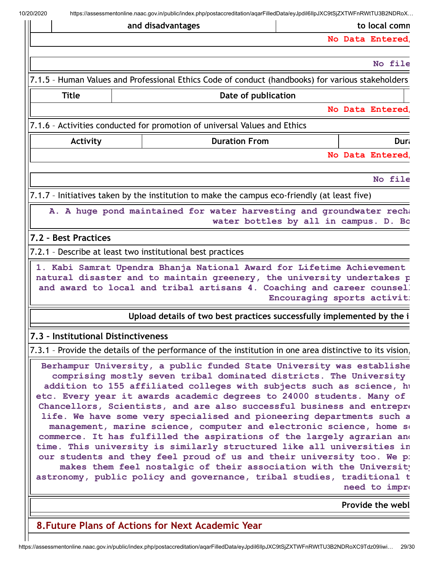**and disadvantages to local comm No Data Entered/ No file** 7.1.5 – Human Values and Professional Ethics Code of conduct (handbooks) for various stakeholders **Title Date of publication No Data Entered/** 7.1.6 – Activities conducted for promotion of universal Values and Ethics **Activity Duration From Duration From Dura No Data Entered/ No file** 7.1.7 – Initiatives taken by the institution to make the campus eco-friendly (at least five) **A. A huge pond maintained for water harvesting and groundwater recha water bottles by all in campus. D. Bo 7.2 – Best Practices** 7.2.1 – Describe at least two institutional best practices **1. Kabi Samrat Upendra Bhanja National Award for Lifetime Achievement natural disaster and to maintain greenery, the university undertakes p and award to local and tribal artisans 4. Coaching and career counsell Encouraging sports activiti Upload details of two best practices successfully implemented by the i 7.3 – Institutional Distinctiveness** 7.3.1 – Provide the details of the performance of the institution in one area distinctive to its vision, **Berhampur University, a public funded State University was establishe comprising mostly seven tribal dominated districts. The University addition to 155 affiliated colleges with subjects such as science, hu etc. Every year it awards academic degrees to 24000 students. Many of Chancellors, Scientists, and are also successful business and entrepre life. We have some very specialised and pioneering departments such a management, marine science, computer and electronic science, home sc commerce. It has fulfilled the aspirations of the largely agrarian and time. This university is similarly structured like all universities in our students and they feel proud of us and their university too. We pr makes them feel nostalgic of their association with the University astronomy, public policy and governance, tribal studies, traditional t need** to impro **Provide the webl 8.Future Plans of Actions for Next Academic Year**